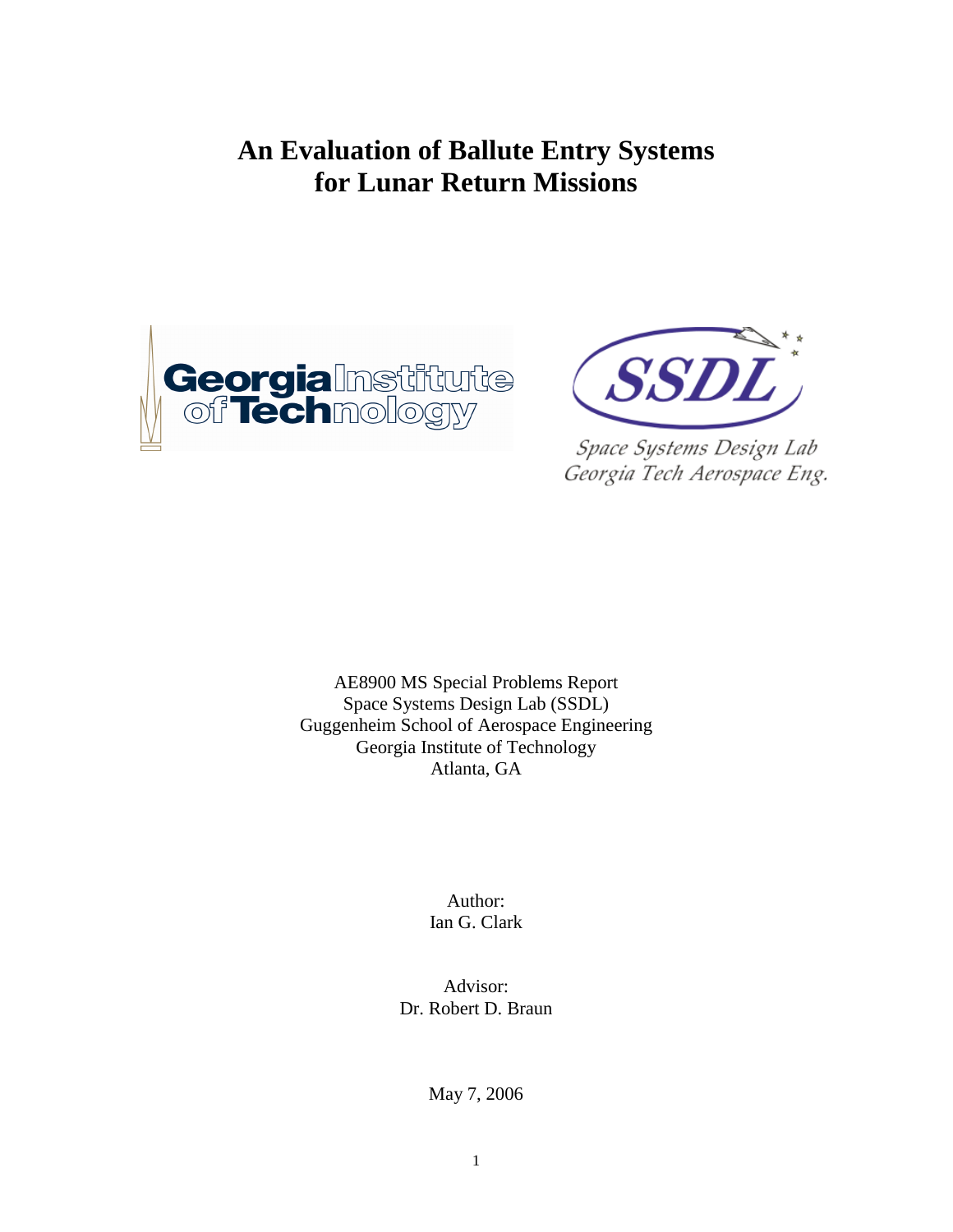# **An Evaluation of Ballute Entry Systems for Lunar Return Missions**





Space Systems Design Lab Georgia Tech Aerospace Eng.

AE8900 MS Special Problems Report Space Systems Design Lab (SSDL) Guggenheim School of Aerospace Engineering Georgia Institute of Technology Atlanta, GA

> Author: Ian G. Clark

Advisor: Dr. Robert D. Braun

May 7, 2006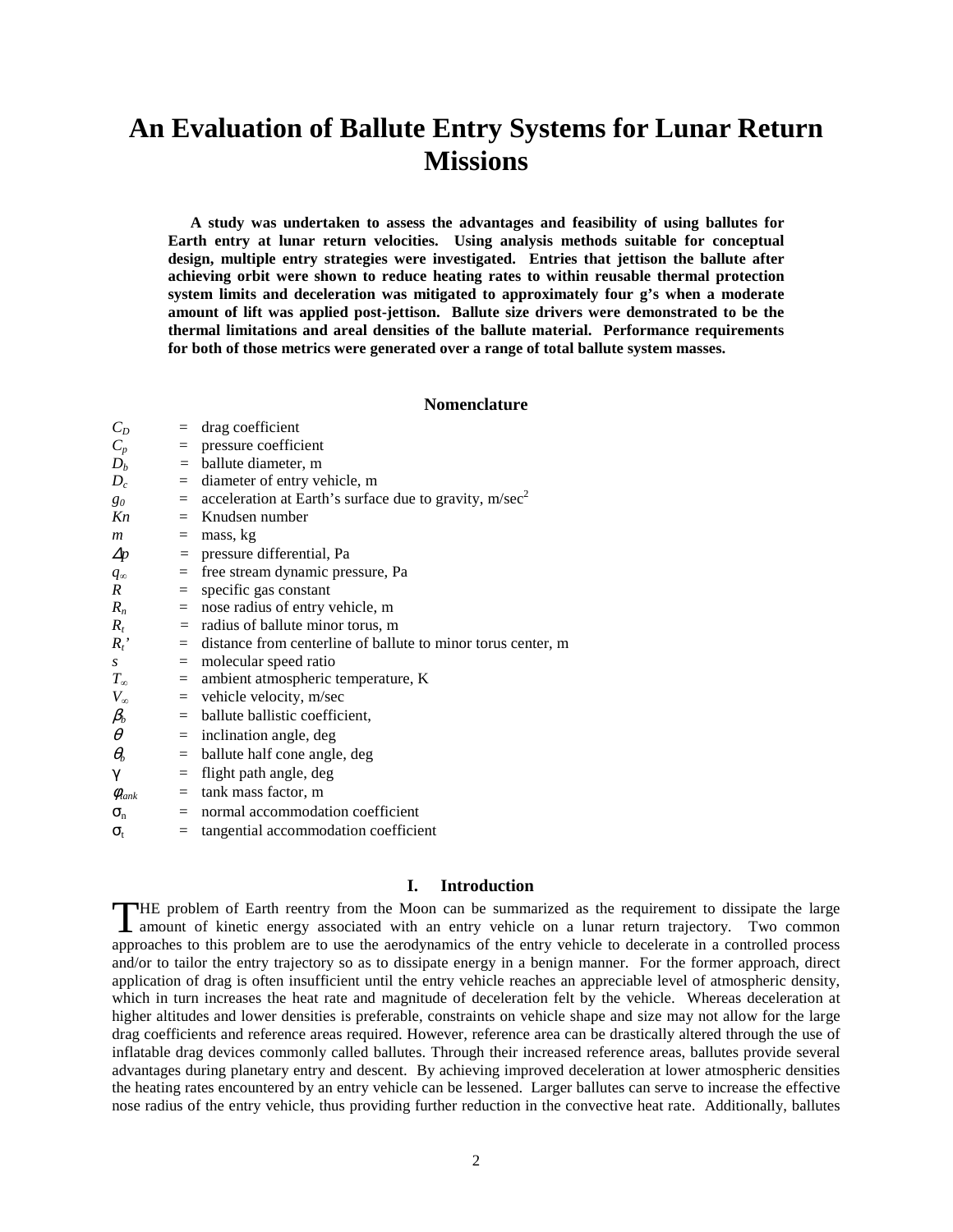# **An Evaluation of Ballute Entry Systems for Lunar Return Missions**

**A study was undertaken to assess the advantages and feasibility of using ballutes for Earth entry at lunar return velocities. Using analysis methods suitable for conceptual design, multiple entry strategies were investigated. Entries that jettison the ballute after achieving orbit were shown to reduce heating rates to within reusable thermal protection system limits and deceleration was mitigated to approximately four g's when a moderate amount of lift was applied post-jettison. Ballute size drivers were demonstrated to be the thermal limitations and areal densities of the ballute material. Performance requirements for both of those metrics were generated over a range of total ballute system masses.** 

# **Nomenclature**

| $C_D$                | $=$ | drag coefficient                                                       |
|----------------------|-----|------------------------------------------------------------------------|
| $C_p$                | $=$ | pressure coefficient                                                   |
| $D_b$                |     | $=$ ballute diameter, m                                                |
| $D_c$                |     | $=$ diameter of entry vehicle, m                                       |
| $g_0$                |     | $=$ acceleration at Earth's surface due to gravity, m/sec <sup>2</sup> |
| Kn                   |     | $=$ Knudsen number                                                     |
| $\boldsymbol{m}$     | $=$ | mass, kg                                                               |
| $\Delta p$           | $=$ | pressure differential, Pa                                              |
| $q_{\infty}$         | $=$ | free stream dynamic pressure, Pa                                       |
| $\boldsymbol{R}$     | $=$ | specific gas constant                                                  |
| $R_n$                |     | $=$ nose radius of entry vehicle, m                                    |
| $R_t$                |     | $=$ radius of ballute minor torus, m                                   |
| $R_t$ '              |     | $=$ distance from centerline of ballute to minor torus center, m       |
| $\boldsymbol{S}$     |     | $=$ molecular speed ratio                                              |
| $T_{\infty}$         | $=$ | ambient atmospheric temperature, K                                     |
| $V_{\infty}$         |     | $=$ vehicle velocity, m/sec                                            |
| $\beta_b$            |     | $=$ ballute ballistic coefficient,                                     |
| $\theta$             | $=$ | inclination angle, deg                                                 |
| $\theta_b$           | $=$ | ballute half cone angle, deg                                           |
| γ                    | $=$ | flight path angle, deg                                                 |
| $\phi_{\text{tank}}$ | $=$ | tank mass factor, m                                                    |
| $\sigma_{n}$         | $=$ | normal accommodation coefficient                                       |
| $\sigma_{t}$         | $=$ | tangential accommodation coefficient                                   |
|                      |     |                                                                        |

# **I. Introduction**

HE problem of Earth reentry from the Moon can be summarized as the requirement to dissipate the large THE problem of Earth reentry from the Moon can be summarized as the requirement to dissipate the large amount of kinetic energy associated with an entry vehicle on a lunar return trajectory. Two common approaches to this problem are to use the aerodynamics of the entry vehicle to decelerate in a controlled process and/or to tailor the entry trajectory so as to dissipate energy in a benign manner. For the former approach, direct application of drag is often insufficient until the entry vehicle reaches an appreciable level of atmospheric density, which in turn increases the heat rate and magnitude of deceleration felt by the vehicle. Whereas deceleration at higher altitudes and lower densities is preferable, constraints on vehicle shape and size may not allow for the large drag coefficients and reference areas required. However, reference area can be drastically altered through the use of inflatable drag devices commonly called ballutes. Through their increased reference areas, ballutes provide several advantages during planetary entry and descent. By achieving improved deceleration at lower atmospheric densities the heating rates encountered by an entry vehicle can be lessened. Larger ballutes can serve to increase the effective nose radius of the entry vehicle, thus providing further reduction in the convective heat rate. Additionally, ballutes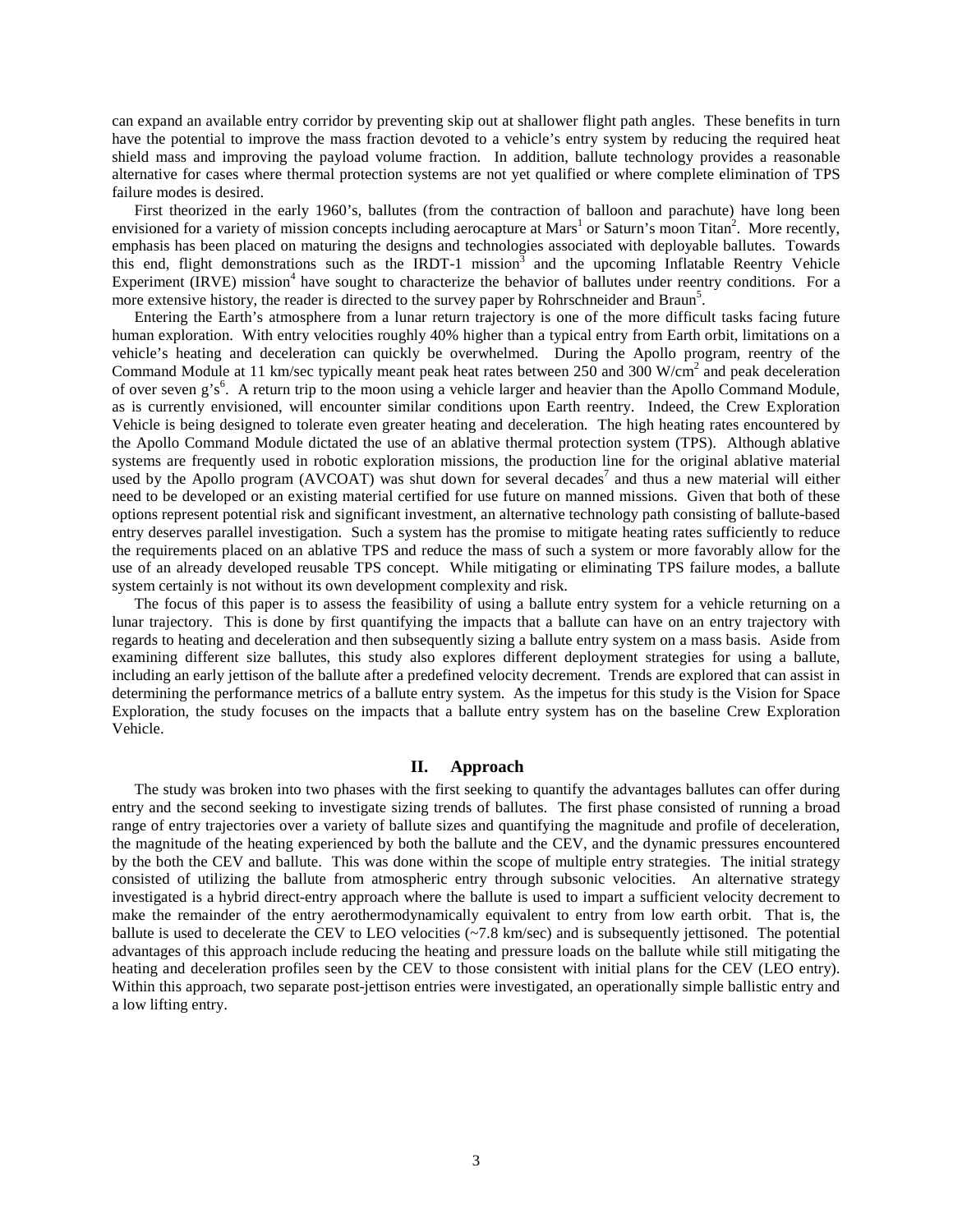can expand an available entry corridor by preventing skip out at shallower flight path angles. These benefits in turn have the potential to improve the mass fraction devoted to a vehicle's entry system by reducing the required heat shield mass and improving the payload volume fraction. In addition, ballute technology provides a reasonable alternative for cases where thermal protection systems are not yet qualified or where complete elimination of TPS failure modes is desired.

 First theorized in the early 1960's, ballutes (from the contraction of balloon and parachute) have long been envisioned for a variety of mission concepts including aerocapture at Mars<sup>1</sup> or Saturn's moon Titan<sup>2</sup>. More recently, emphasis has been placed on maturing the designs and technologies associated with deployable ballutes. Towards this end, flight demonstrations such as the IRDT-1 mission<sup>3</sup> and the upcoming Inflatable Reentry Vehicle Experiment (IRVE) mission<sup>4</sup> have sought to characterize the behavior of ballutes under reentry conditions. For a more extensive history, the reader is directed to the survey paper by Rohrschneider and Braun<sup>5</sup>.

Entering the Earth's atmosphere from a lunar return trajectory is one of the more difficult tasks facing future human exploration. With entry velocities roughly 40% higher than a typical entry from Earth orbit, limitations on a vehicle's heating and deceleration can quickly be overwhelmed. During the Apollo program, reentry of the Command Module at 11 km/sec typically meant peak heat rates between 250 and 300 W/cm<sup>2</sup> and peak deceleration of over seven g's<sup>6</sup>. A return trip to the moon using a vehicle larger and heavier than the Apollo Command Module, as is currently envisioned, will encounter similar conditions upon Earth reentry. Indeed, the Crew Exploration Vehicle is being designed to tolerate even greater heating and deceleration. The high heating rates encountered by the Apollo Command Module dictated the use of an ablative thermal protection system (TPS). Although ablative systems are frequently used in robotic exploration missions, the production line for the original ablative material used by the Apollo program (AVCOAT) was shut down for several decades<sup>7</sup> and thus a new material will either need to be developed or an existing material certified for use future on manned missions. Given that both of these options represent potential risk and significant investment, an alternative technology path consisting of ballute-based entry deserves parallel investigation. Such a system has the promise to mitigate heating rates sufficiently to reduce the requirements placed on an ablative TPS and reduce the mass of such a system or more favorably allow for the use of an already developed reusable TPS concept. While mitigating or eliminating TPS failure modes, a ballute system certainly is not without its own development complexity and risk.

The focus of this paper is to assess the feasibility of using a ballute entry system for a vehicle returning on a lunar trajectory. This is done by first quantifying the impacts that a ballute can have on an entry trajectory with regards to heating and deceleration and then subsequently sizing a ballute entry system on a mass basis. Aside from examining different size ballutes, this study also explores different deployment strategies for using a ballute, including an early jettison of the ballute after a predefined velocity decrement. Trends are explored that can assist in determining the performance metrics of a ballute entry system. As the impetus for this study is the Vision for Space Exploration, the study focuses on the impacts that a ballute entry system has on the baseline Crew Exploration Vehicle.

#### **II. Approach**

The study was broken into two phases with the first seeking to quantify the advantages ballutes can offer during entry and the second seeking to investigate sizing trends of ballutes. The first phase consisted of running a broad range of entry trajectories over a variety of ballute sizes and quantifying the magnitude and profile of deceleration, the magnitude of the heating experienced by both the ballute and the CEV, and the dynamic pressures encountered by the both the CEV and ballute. This was done within the scope of multiple entry strategies. The initial strategy consisted of utilizing the ballute from atmospheric entry through subsonic velocities. An alternative strategy investigated is a hybrid direct-entry approach where the ballute is used to impart a sufficient velocity decrement to make the remainder of the entry aerothermodynamically equivalent to entry from low earth orbit. That is, the ballute is used to decelerate the CEV to LEO velocities (~7.8 km/sec) and is subsequently jettisoned. The potential advantages of this approach include reducing the heating and pressure loads on the ballute while still mitigating the heating and deceleration profiles seen by the CEV to those consistent with initial plans for the CEV (LEO entry). Within this approach, two separate post-jettison entries were investigated, an operationally simple ballistic entry and a low lifting entry.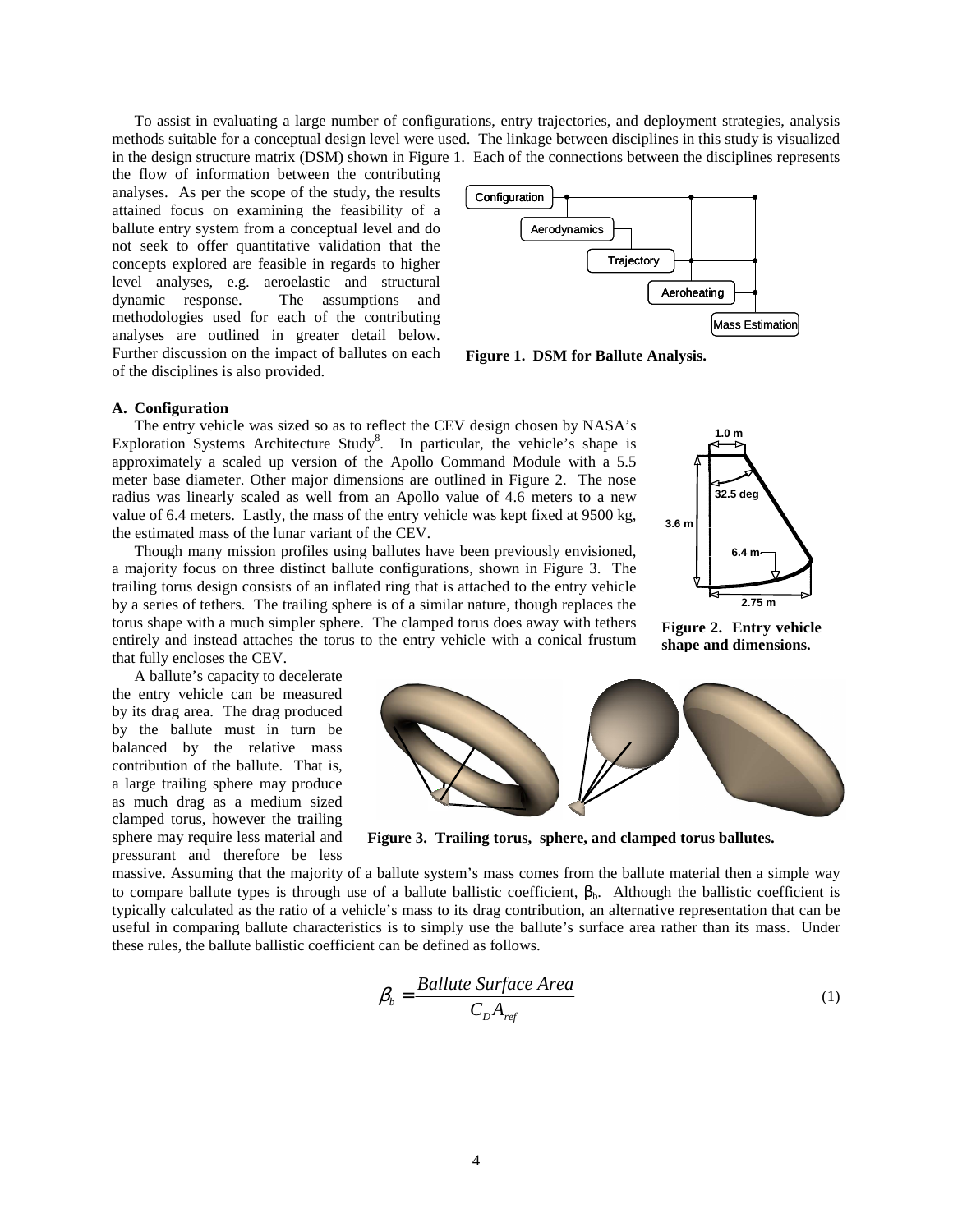To assist in evaluating a large number of configurations, entry trajectories, and deployment strategies, analysis methods suitable for a conceptual design level were used. The linkage between disciplines in this study is visualized in the design structure matrix (DSM) shown in Figure 1. Each of the connections between the disciplines represents

the flow of information between the contributing analyses. As per the scope of the study, the results attained focus on examining the feasibility of a ballute entry system from a conceptual level and do not seek to offer quantitative validation that the concepts explored are feasible in regards to higher level analyses, e.g. aeroelastic and structural dynamic response. The assumptions and methodologies used for each of the contributing analyses are outlined in greater detail below. Further discussion on the impact of ballutes on each of the disciplines is also provided.



**32.5 deg**

**6.4 m**

**Figure 2. Entry vehicle shape and dimensions.**

**1.0 m**

**3.6 m**

**2.75 m**

**Figure 1. DSM for Ballute Analysis.** 

# **A. Configuration**

The entry vehicle was sized so as to reflect the CEV design chosen by NASA's Exploration Systems Architecture Study<sup>8</sup>. In particular, the vehicle's shape is approximately a scaled up version of the Apollo Command Module with a 5.5 meter base diameter. Other major dimensions are outlined in Figure 2. The nose radius was linearly scaled as well from an Apollo value of 4.6 meters to a new value of 6.4 meters. Lastly, the mass of the entry vehicle was kept fixed at 9500 kg, the estimated mass of the lunar variant of the CEV.

Though many mission profiles using ballutes have been previously envisioned, a majority focus on three distinct ballute configurations, shown in Figure 3. The trailing torus design consists of an inflated ring that is attached to the entry vehicle by a series of tethers. The trailing sphere is of a similar nature, though replaces the torus shape with a much simpler sphere. The clamped torus does away with tethers entirely and instead attaches the torus to the entry vehicle with a conical frustum that fully encloses the CEV.

A ballute's capacity to decelerate the entry vehicle can be measured by its drag area. The drag produced by the ballute must in turn be balanced by the relative mass contribution of the ballute. That is, a large trailing sphere may produce as much drag as a medium sized clamped torus, however the trailing sphere may require less material and pressurant and therefore be less



**Figure 3. Trailing torus, sphere, and clamped torus ballutes.** 

massive. Assuming that the majority of a ballute system's mass comes from the ballute material then a simple way to compare ballute types is through use of a ballute ballistic coefficient,  $\beta_b$ . Although the ballistic coefficient is typically calculated as the ratio of a vehicle's mass to its drag contribution, an alternative representation that can be useful in comparing ballute characteristics is to simply use the ballute's surface area rather than its mass. Under these rules, the ballute ballistic coefficient can be defined as follows.

$$
\beta_b = \frac{Ballute\ Surface\ Area}{C_D A_{ref}}\tag{1}
$$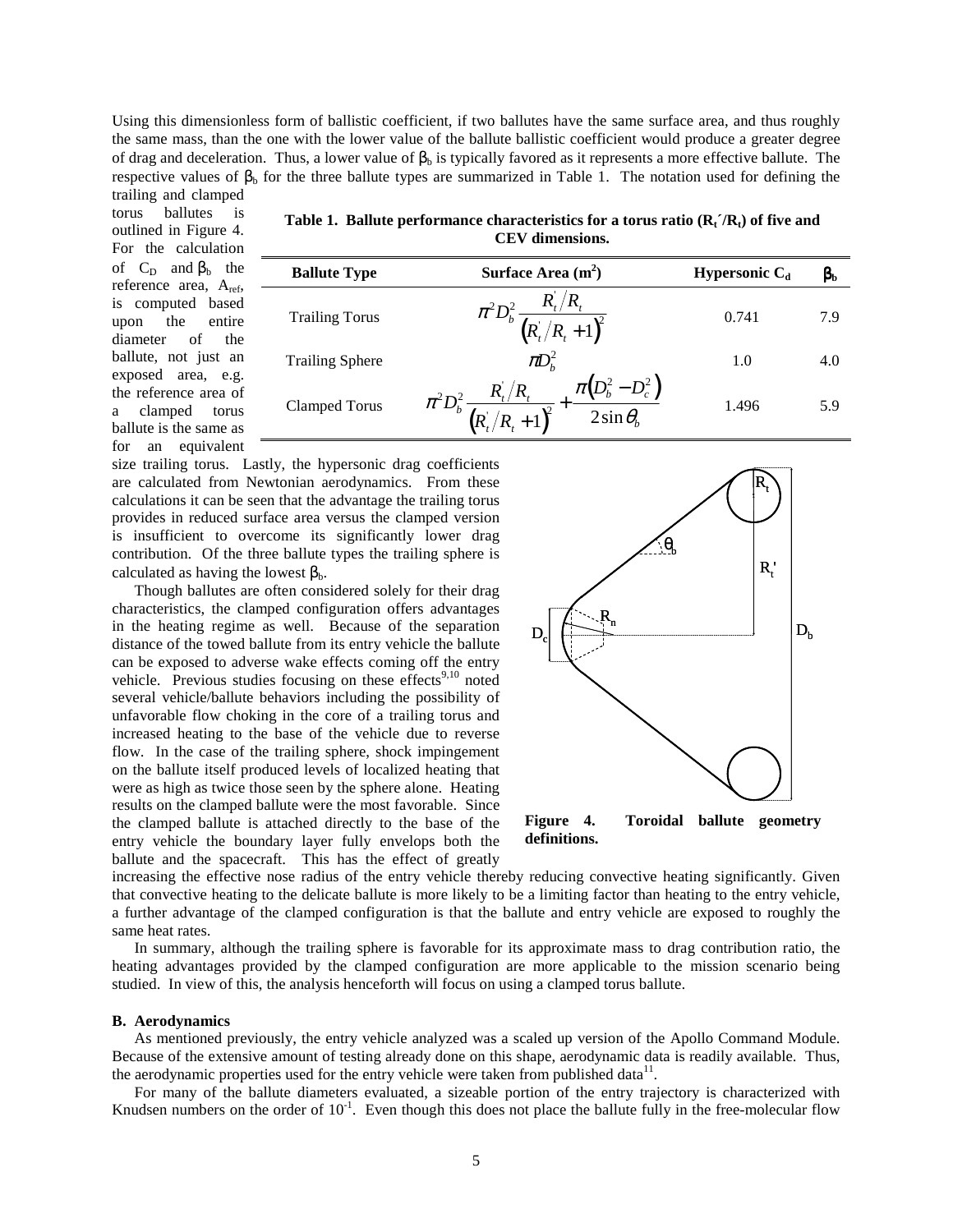Using this dimensionless form of ballistic coefficient, if two ballutes have the same surface area, and thus roughly the same mass, than the one with the lower value of the ballute ballistic coefficient would produce a greater degree of drag and deceleration. Thus, a lower value of  $\beta_b$  is typically favored as it represents a more effective ballute. The respective values of  $\beta_b$  for the three ballute types are summarized in Table 1. The notation used for defining the trailing and clamped

torus ballutes is outlined in Figure 4. For the calculation of  $C_D$  and  $\beta_b$  the reference area, A<sub>ref</sub>, is computed based upon the entire diameter of the ballute, not just an exposed area, e.g. the reference area of a clamped torus ballute is the same as for an equivalent

**Table 1. Ballute performance characteristics for a torus ratio**  $(R_t / R_t)$  **of five and CEV dimensions.** 

| <b>Ballute Type</b>    | Surface Area $(m2)$                                                                                                 | Hypersonic $C_d$ | $\beta_{\rm b}$ |
|------------------------|---------------------------------------------------------------------------------------------------------------------|------------------|-----------------|
| <b>Trailing Torus</b>  | $\pi^2 D_b^2 \frac{R_i/R_i}{(R_i/R_i+1)^2}$                                                                         | 0.741            | 7.9             |
| <b>Trailing Sphere</b> | $\pi D_h^2$                                                                                                         | 1.0              | 4.0             |
| Clamped Torus          | + $\frac{\pi(D_b^2 - D_c^2)}{2\sin\theta_b}$<br>$\pi^2 D_b^2 \frac{R_t/R_t}{\epsilon}$<br>$\frac{1}{(R_t/R_t+1)^2}$ | 1.496            | 5.9             |

size trailing torus. Lastly, the hypersonic drag coefficients are calculated from Newtonian aerodynamics. From these calculations it can be seen that the advantage the trailing torus provides in reduced surface area versus the clamped version is insufficient to overcome its significantly lower drag contribution. Of the three ballute types the trailing sphere is calculated as having the lowest  $\beta_b$ .

 Though ballutes are often considered solely for their drag characteristics, the clamped configuration offers advantages in the heating regime as well. Because of the separation distance of the towed ballute from its entry vehicle the ballute can be exposed to adverse wake effects coming off the entry vehicle. Previous studies focusing on these effects<sup>9,10</sup> noted several vehicle/ballute behaviors including the possibility of unfavorable flow choking in the core of a trailing torus and increased heating to the base of the vehicle due to reverse flow. In the case of the trailing sphere, shock impingement on the ballute itself produced levels of localized heating that were as high as twice those seen by the sphere alone. Heating results on the clamped ballute were the most favorable. Since the clamped ballute is attached directly to the base of the entry vehicle the boundary layer fully envelops both the ballute and the spacecraft. This has the effect of greatly



increasing the effective nose radius of the entry vehicle thereby reducing convective heating significantly. Given that convective heating to the delicate ballute is more likely to be a limiting factor than heating to the entry vehicle, a further advantage of the clamped configuration is that the ballute and entry vehicle are exposed to roughly the same heat rates.

 In summary, although the trailing sphere is favorable for its approximate mass to drag contribution ratio, the heating advantages provided by the clamped configuration are more applicable to the mission scenario being studied. In view of this, the analysis henceforth will focus on using a clamped torus ballute.

#### **B. Aerodynamics**

As mentioned previously, the entry vehicle analyzed was a scaled up version of the Apollo Command Module. Because of the extensive amount of testing already done on this shape, aerodynamic data is readily available. Thus, the aerodynamic properties used for the entry vehicle were taken from published data $^{11}$ .

For many of the ballute diameters evaluated, a sizeable portion of the entry trajectory is characterized with Knudsen numbers on the order of  $10^{-1}$ . Even though this does not place the ballute fully in the free-molecular flow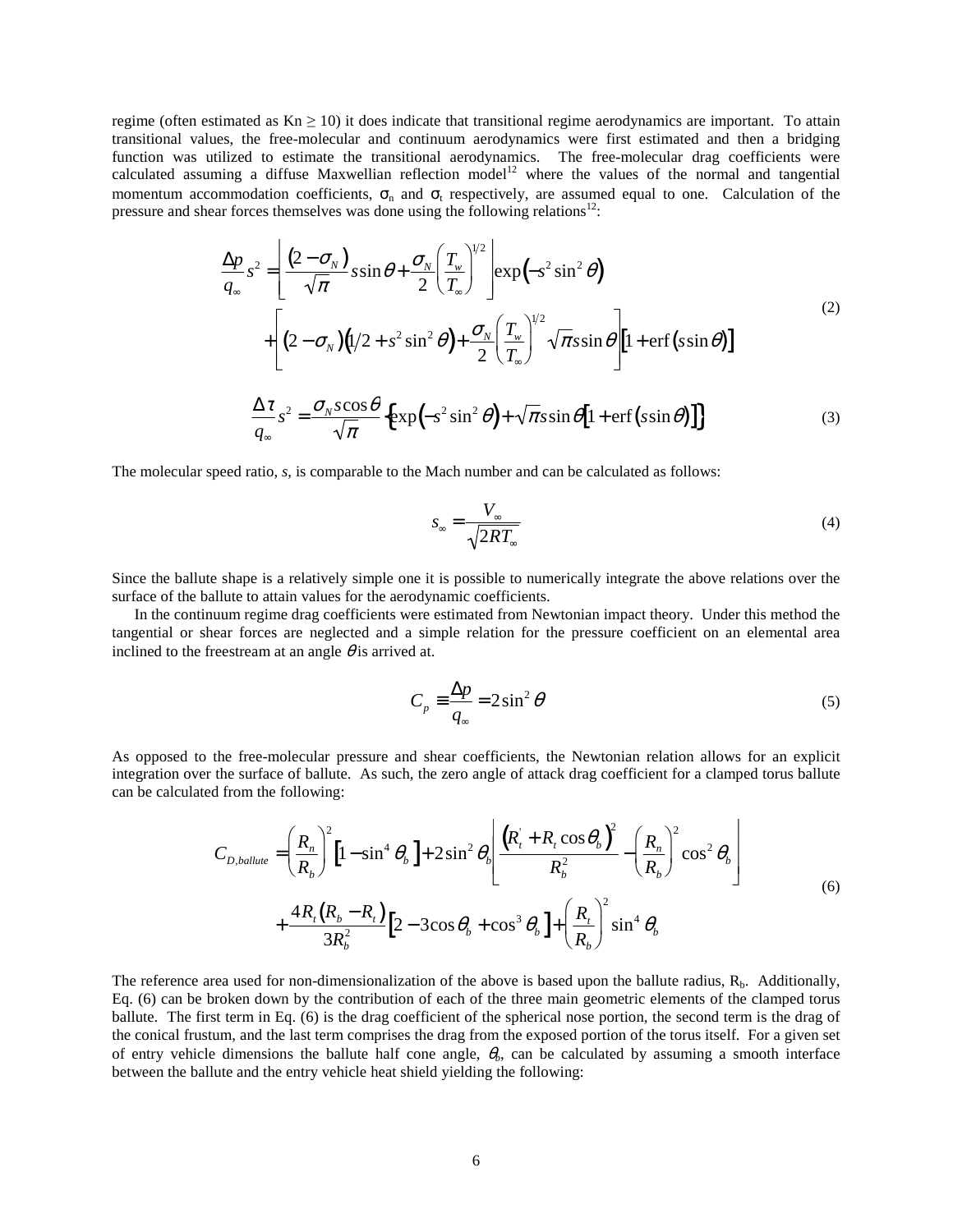regime (often estimated as  $Kn \geq 10$ ) it does indicate that transitional regime aerodynamics are important. To attain transitional values, the free-molecular and continuum aerodynamics were first estimated and then a bridging function was utilized to estimate the transitional aerodynamics. The free-molecular drag coefficients were calculated assuming a diffuse Maxwellian reflection model<sup>12</sup> where the values of the normal and tangential momentum accommodation coefficients,  $\sigma_n$  and  $\sigma_t$  respectively, are assumed equal to one. Calculation of the pressure and shear forces themselves was done using the following relations $12$ :

$$
\frac{\Delta p}{q_{\infty}} s^2 = \left[ \frac{(2 - \sigma_N)}{\sqrt{\pi}} s \sin \theta + \frac{\sigma_N}{2} \left( \frac{T_w}{T_{\infty}} \right)^{1/2} \right] \exp(-s^2 \sin^2 \theta)
$$
\n
$$
+ \left[ (2 - \sigma_N) (1/2 + s^2 \sin^2 \theta) + \frac{\sigma_N}{2} \left( \frac{T_w}{T_{\infty}} \right)^{1/2} \sqrt{\pi} s \sin \theta \right] \left[ 1 + \text{erf} \left( s \sin \theta \right) \right]
$$
\n
$$
\frac{\Delta \tau}{q_{\infty}} s^2 = \frac{\sigma_N s \cos \theta}{\sqrt{\pi}} \left\{ \exp(-s^2 \sin^2 \theta) + \sqrt{\pi} s \sin \theta \left[ 1 + \text{erf} \left( s \sin \theta \right) \right] \right\} \tag{3}
$$

The molecular speed ratio, *s*, is comparable to the Mach number and can be calculated as follows:

*q*∞

$$
S_{\infty} = \frac{V_{\infty}}{\sqrt{2RT_{\infty}}} \tag{4}
$$

Since the ballute shape is a relatively simple one it is possible to numerically integrate the above relations over the surface of the ballute to attain values for the aerodynamic coefficients.

In the continuum regime drag coefficients were estimated from Newtonian impact theory. Under this method the tangential or shear forces are neglected and a simple relation for the pressure coefficient on an elemental area inclined to the freestream at an angle  $\theta$  is arrived at.

$$
C_p \equiv \frac{\Delta p}{q_{\infty}} = 2\sin^2 \theta \tag{5}
$$

As opposed to the free-molecular pressure and shear coefficients, the Newtonian relation allows for an explicit integration over the surface of ballute. As such, the zero angle of attack drag coefficient for a clamped torus ballute can be calculated from the following:

$$
C_{D,ballute} = \left(\frac{R_n}{R_b}\right)^2 \left[1 - \sin^4 \theta_b\right] + 2\sin^2 \theta_b \left(\frac{\left(R_t + R_t \cos \theta_b\right)^2}{R_b^2} - \left(\frac{R_n}{R_b}\right)^2 \cos^2 \theta_b\right) + \frac{4R_t(R_b - R_t)}{3R_b^2} \left[2 - 3\cos \theta_b + \cos^3 \theta_b\right] + \left(\frac{R_t}{R_b}\right)^2 \sin^4 \theta_b
$$
\n(6)

The reference area used for non-dimensionalization of the above is based upon the ballute radius,  $R_b$ . Additionally, Eq. (6) can be broken down by the contribution of each of the three main geometric elements of the clamped torus ballute. The first term in Eq. (6) is the drag coefficient of the spherical nose portion, the second term is the drag of the conical frustum, and the last term comprises the drag from the exposed portion of the torus itself. For a given set of entry vehicle dimensions the ballute half cone angle,  $\theta_b$ , can be calculated by assuming a smooth interface between the ballute and the entry vehicle heat shield yielding the following: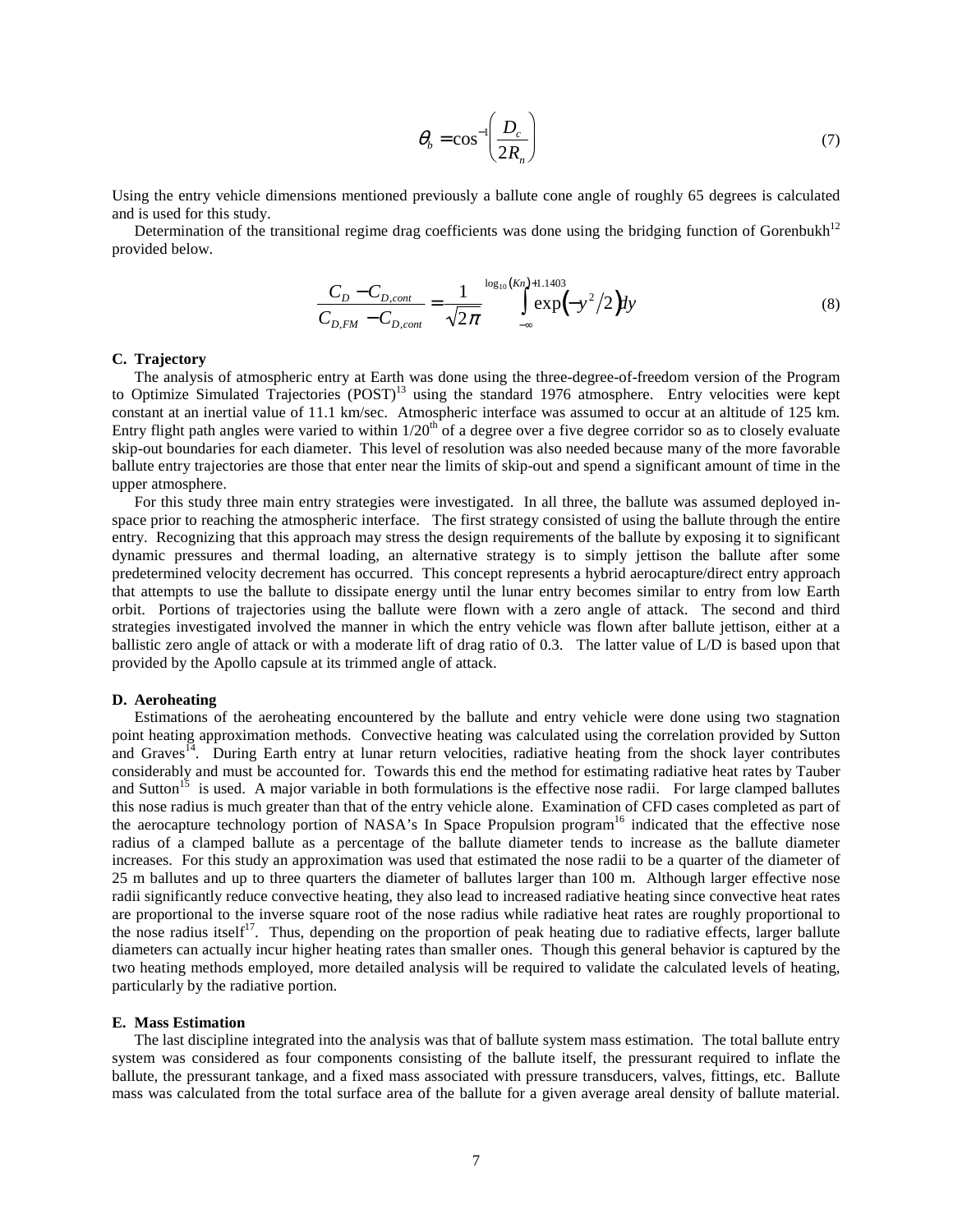$$
\theta_b = \cos^{-1}\left(\frac{D_c}{2R_n}\right) \tag{7}
$$

Using the entry vehicle dimensions mentioned previously a ballute cone angle of roughly 65 degrees is calculated and is used for this study.

Determination of the transitional regime drag coefficients was done using the bridging function of Gorenbukh<sup>12</sup> provided below.

$$
\frac{C_D - C_{D,cont}}{C_{D,FM} - C_{D,cont}} = \frac{1}{\sqrt{2\pi}} \int_{-\infty}^{\log_{10}(Kn) + 1.1403} \exp(-y^2/2) dy
$$
\n(8)

# **C. Trajectory**

The analysis of atmospheric entry at Earth was done using the three-degree-of-freedom version of the Program to Optimize Simulated Trajectories (POST)<sup>13</sup> using the standard 1976 atmosphere. Entry velocities were kept constant at an inertial value of 11.1 km/sec. Atmospheric interface was assumed to occur at an altitude of 125 km. Entry flight path angles were varied to within  $1/20^{th}$  of a degree over a five degree corridor so as to closely evaluate skip-out boundaries for each diameter. This level of resolution was also needed because many of the more favorable ballute entry trajectories are those that enter near the limits of skip-out and spend a significant amount of time in the upper atmosphere.

For this study three main entry strategies were investigated. In all three, the ballute was assumed deployed inspace prior to reaching the atmospheric interface. The first strategy consisted of using the ballute through the entire entry. Recognizing that this approach may stress the design requirements of the ballute by exposing it to significant dynamic pressures and thermal loading, an alternative strategy is to simply jettison the ballute after some predetermined velocity decrement has occurred. This concept represents a hybrid aerocapture/direct entry approach that attempts to use the ballute to dissipate energy until the lunar entry becomes similar to entry from low Earth orbit. Portions of trajectories using the ballute were flown with a zero angle of attack. The second and third strategies investigated involved the manner in which the entry vehicle was flown after ballute jettison, either at a ballistic zero angle of attack or with a moderate lift of drag ratio of 0.3. The latter value of L/D is based upon that provided by the Apollo capsule at its trimmed angle of attack.

#### **D. Aeroheating**

Estimations of the aeroheating encountered by the ballute and entry vehicle were done using two stagnation point heating approximation methods. Convective heating was calculated using the correlation provided by Sutton and Graves<sup>14</sup>. During Earth entry at lunar return velocities, radiative heating from the shock layer contributes considerably and must be accounted for. Towards this end the method for estimating radiative heat rates by Tauber and Sutton<sup>15</sup> is used. A major variable in both formulations is the effective nose radii. For large clamped ballutes this nose radius is much greater than that of the entry vehicle alone. Examination of CFD cases completed as part of the aerocapture technology portion of NASA's In Space Propulsion program<sup>16</sup> indicated that the effective nose radius of a clamped ballute as a percentage of the ballute diameter tends to increase as the ballute diameter increases. For this study an approximation was used that estimated the nose radii to be a quarter of the diameter of 25 m ballutes and up to three quarters the diameter of ballutes larger than 100 m. Although larger effective nose radii significantly reduce convective heating, they also lead to increased radiative heating since convective heat rates are proportional to the inverse square root of the nose radius while radiative heat rates are roughly proportional to the nose radius itself<sup>17</sup>. Thus, depending on the proportion of peak heating due to radiative effects, larger ballute diameters can actually incur higher heating rates than smaller ones. Though this general behavior is captured by the two heating methods employed, more detailed analysis will be required to validate the calculated levels of heating, particularly by the radiative portion.

#### **E. Mass Estimation**

The last discipline integrated into the analysis was that of ballute system mass estimation. The total ballute entry system was considered as four components consisting of the ballute itself, the pressurant required to inflate the ballute, the pressurant tankage, and a fixed mass associated with pressure transducers, valves, fittings, etc. Ballute mass was calculated from the total surface area of the ballute for a given average areal density of ballute material.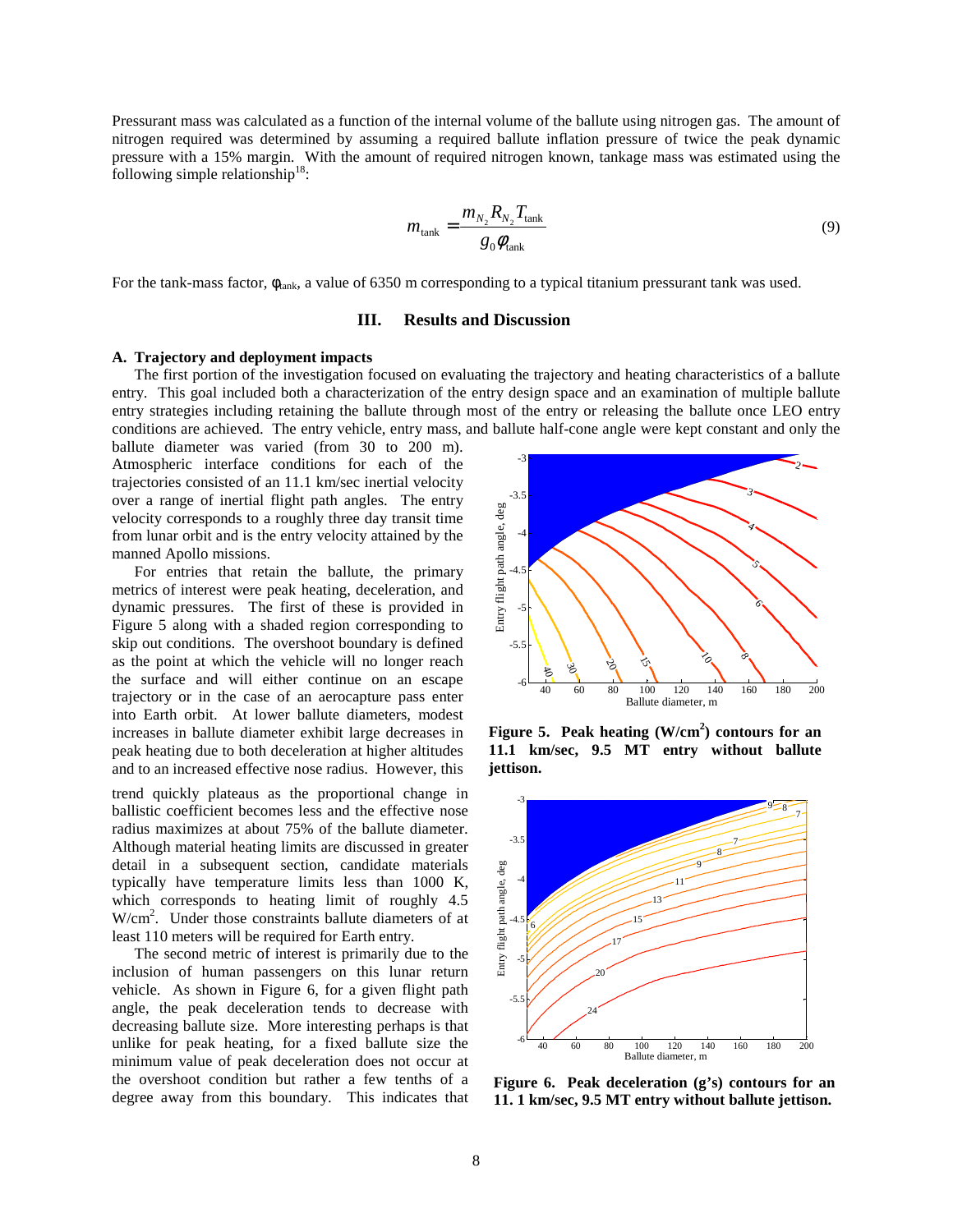Pressurant mass was calculated as a function of the internal volume of the ballute using nitrogen gas. The amount of nitrogen required was determined by assuming a required ballute inflation pressure of twice the peak dynamic pressure with a 15% margin. With the amount of required nitrogen known, tankage mass was estimated using the following simple relationship<sup>18</sup>:

$$
m_{\text{tank}} = \frac{m_{N_2} R_{N_2} T_{\text{tank}}}{g_0 \phi_{\text{tank}}} \tag{9}
$$

For the tank-mass factor,  $\phi_{\text{tank}}$ , a value of 6350 m corresponding to a typical titanium pressurant tank was used.

# **III. Results and Discussion**

# **A. Trajectory and deployment impacts**

The first portion of the investigation focused on evaluating the trajectory and heating characteristics of a ballute entry. This goal included both a characterization of the entry design space and an examination of multiple ballute entry strategies including retaining the ballute through most of the entry or releasing the ballute once LEO entry conditions are achieved. The entry vehicle, entry mass, and ballute half-cone angle were kept constant and only the

ballute diameter was varied (from 30 to 200 m). Atmospheric interface conditions for each of the trajectories consisted of an 11.1 km/sec inertial velocity over a range of inertial flight path angles. The entry velocity corresponds to a roughly three day transit time from lunar orbit and is the entry velocity attained by the manned Apollo missions.

For entries that retain the ballute, the primary metrics of interest were peak heating, deceleration, and dynamic pressures. The first of these is provided in Figure 5 along with a shaded region corresponding to skip out conditions. The overshoot boundary is defined as the point at which the vehicle will no longer reach the surface and will either continue on an escape trajectory or in the case of an aerocapture pass enter into Earth orbit. At lower ballute diameters, modest increases in ballute diameter exhibit large decreases in peak heating due to both deceleration at higher altitudes and to an increased effective nose radius. However, this

trend quickly plateaus as the proportional change in ballistic coefficient becomes less and the effective nose radius maximizes at about 75% of the ballute diameter. Although material heating limits are discussed in greater detail in a subsequent section, candidate materials typically have temperature limits less than 1000 K, which corresponds to heating limit of roughly 4.5 W/cm<sup>2</sup> . Under those constraints ballute diameters of at least 110 meters will be required for Earth entry.

The second metric of interest is primarily due to the inclusion of human passengers on this lunar return vehicle. As shown in Figure 6, for a given flight path angle, the peak deceleration tends to decrease with decreasing ballute size. More interesting perhaps is that unlike for peak heating, for a fixed ballute size the minimum value of peak deceleration does not occur at the overshoot condition but rather a few tenths of a degree away from this boundary. This indicates that



**Figure 5. Peak heating (W/cm<sup>2</sup> ) contours for an 11.1 km/sec, 9.5 MT entry without ballute jettison.** 



**Figure 6. Peak deceleration (g's) contours for an 11. 1 km/sec, 9.5 MT entry without ballute jettison.**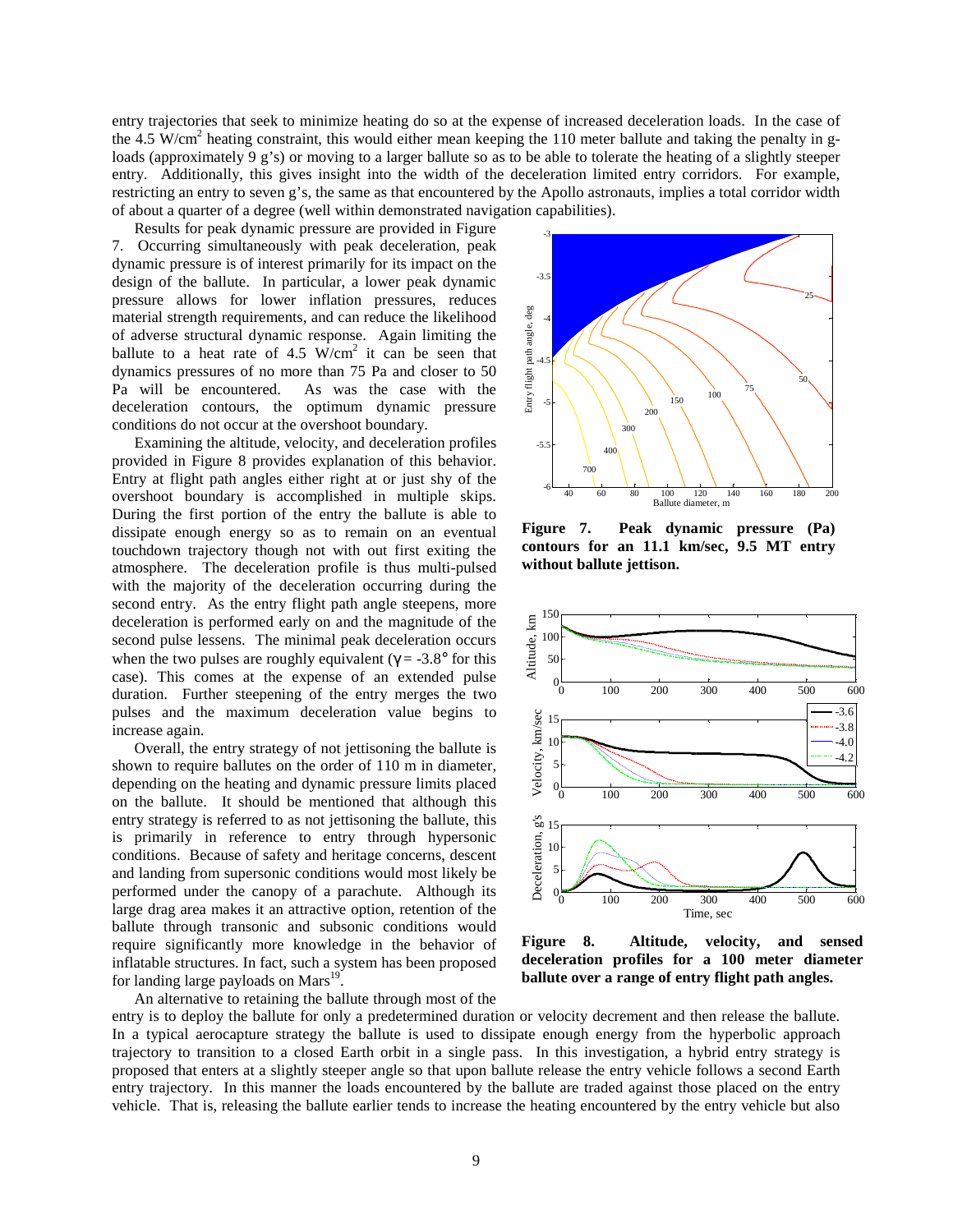entry trajectories that seek to minimize heating do so at the expense of increased deceleration loads. In the case of the 4.5 W/cm<sup>2</sup> heating constraint, this would either mean keeping the 110 meter ballute and taking the penalty in gloads (approximately 9 g's) or moving to a larger ballute so as to be able to tolerate the heating of a slightly steeper entry. Additionally, this gives insight into the width of the deceleration limited entry corridors. For example, restricting an entry to seven g's, the same as that encountered by the Apollo astronauts, implies a total corridor width of about a quarter of a degree (well within demonstrated navigation capabilities).

Results for peak dynamic pressure are provided in Figure 7. Occurring simultaneously with peak deceleration, peak dynamic pressure is of interest primarily for its impact on the design of the ballute. In particular, a lower peak dynamic pressure allows for lower inflation pressures, reduces material strength requirements, and can reduce the likelihood of adverse structural dynamic response. Again limiting the ballute to a heat rate of  $4.5 \text{ W/cm}^2$  it can be seen that dynamics pressures of no more than 75 Pa and closer to 50 Pa will be encountered. As was the case with the deceleration contours, the optimum dynamic pressure conditions do not occur at the overshoot boundary.

Examining the altitude, velocity, and deceleration profiles provided in Figure 8 provides explanation of this behavior. Entry at flight path angles either right at or just shy of the overshoot boundary is accomplished in multiple skips. During the first portion of the entry the ballute is able to dissipate enough energy so as to remain on an eventual touchdown trajectory though not with out first exiting the atmosphere. The deceleration profile is thus multi-pulsed with the majority of the deceleration occurring during the second entry. As the entry flight path angle steepens, more deceleration is performed early on and the magnitude of the second pulse lessens. The minimal peak deceleration occurs when the two pulses are roughly equivalent ( $\gamma = -3.8^\circ$  for this case). This comes at the expense of an extended pulse duration. Further steepening of the entry merges the two pulses and the maximum deceleration value begins to increase again.

 Overall, the entry strategy of not jettisoning the ballute is shown to require ballutes on the order of 110 m in diameter, depending on the heating and dynamic pressure limits placed on the ballute. It should be mentioned that although this entry strategy is referred to as not jettisoning the ballute, this is primarily in reference to entry through hypersonic conditions. Because of safety and heritage concerns, descent and landing from supersonic conditions would most likely be performed under the canopy of a parachute. Although its large drag area makes it an attractive option, retention of the ballute through transonic and subsonic conditions would require significantly more knowledge in the behavior of inflatable structures. In fact, such a system has been proposed for landing large payloads on  $Mars^{19}$ .

-3 -3.5 25 Entry flight path angle, deg path angle, deg -4 -4.5 Entry flight 50 75 100 150 -5 200 300  $-5.5$ 400 700  $-6$  40 60 80 100 120 140 160 180 200 Ballute diameter, m

**Figure 7. Peak dynamic pressure (Pa) contours for an 11.1 km/sec, 9.5 MT entry without ballute jettison.** 



**Figure 8. Altitude, velocity, and sensed deceleration profiles for a 100 meter diameter ballute over a range of entry flight path angles.** 

An alternative to retaining the ballute through most of the

entry is to deploy the ballute for only a predetermined duration or velocity decrement and then release the ballute. In a typical aerocapture strategy the ballute is used to dissipate enough energy from the hyperbolic approach trajectory to transition to a closed Earth orbit in a single pass. In this investigation, a hybrid entry strategy is proposed that enters at a slightly steeper angle so that upon ballute release the entry vehicle follows a second Earth entry trajectory. In this manner the loads encountered by the ballute are traded against those placed on the entry vehicle. That is, releasing the ballute earlier tends to increase the heating encountered by the entry vehicle but also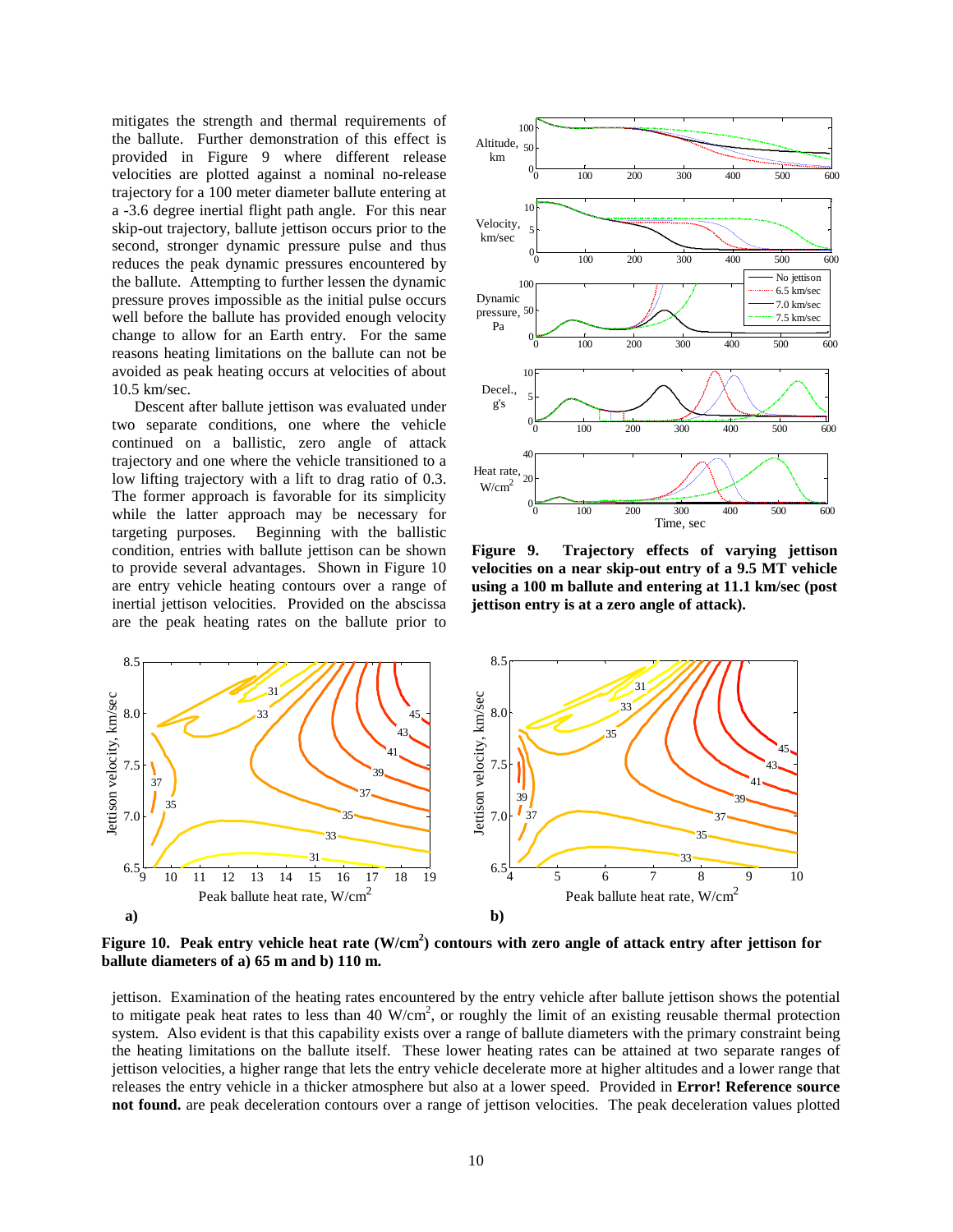mitigates the strength and thermal requirements of the ballute. Further demonstration of this effect is provided in Figure 9 where different release velocities are plotted against a nominal no-release trajectory for a 100 meter diameter ballute entering at a -3.6 degree inertial flight path angle. For this near skip-out trajectory, ballute jettison occurs prior to the second, stronger dynamic pressure pulse and thus reduces the peak dynamic pressures encountered by the ballute. Attempting to further lessen the dynamic pressure proves impossible as the initial pulse occurs well before the ballute has provided enough velocity change to allow for an Earth entry. For the same reasons heating limitations on the ballute can not be avoided as peak heating occurs at velocities of about 10.5 km/sec.

 Descent after ballute jettison was evaluated under two separate conditions, one where the vehicle continued on a ballistic, zero angle of attack trajectory and one where the vehicle transitioned to a low lifting trajectory with a lift to drag ratio of 0.3. The former approach is favorable for its simplicity while the latter approach may be necessary for targeting purposes. Beginning with the ballistic condition, entries with ballute jettison can be shown to provide several advantages. Shown in Figure 10 are entry vehicle heating contours over a range of inertial jettison velocities. Provided on the abscissa are the peak heating rates on the ballute prior to



**Figure 9. Trajectory effects of varying jettison velocities on a near skip-out entry of a 9.5 MT vehicle using a 100 m ballute and entering at 11.1 km/sec (post jettison entry is at a zero angle of attack).** 



**Figure 10. Peak entry vehicle heat rate (W/cm<sup>2</sup> ) contours with zero angle of attack entry after jettison for ballute diameters of a) 65 m and b) 110 m.** 

jettison. Examination of the heating rates encountered by the entry vehicle after ballute jettison shows the potential to mitigate peak heat rates to less than 40  $W/cm^2$ , or roughly the limit of an existing reusable thermal protection system. Also evident is that this capability exists over a range of ballute diameters with the primary constraint being the heating limitations on the ballute itself. These lower heating rates can be attained at two separate ranges of jettison velocities, a higher range that lets the entry vehicle decelerate more at higher altitudes and a lower range that releases the entry vehicle in a thicker atmosphere but also at a lower speed. Provided in **Error! Reference source not found.** are peak deceleration contours over a range of jettison velocities. The peak deceleration values plotted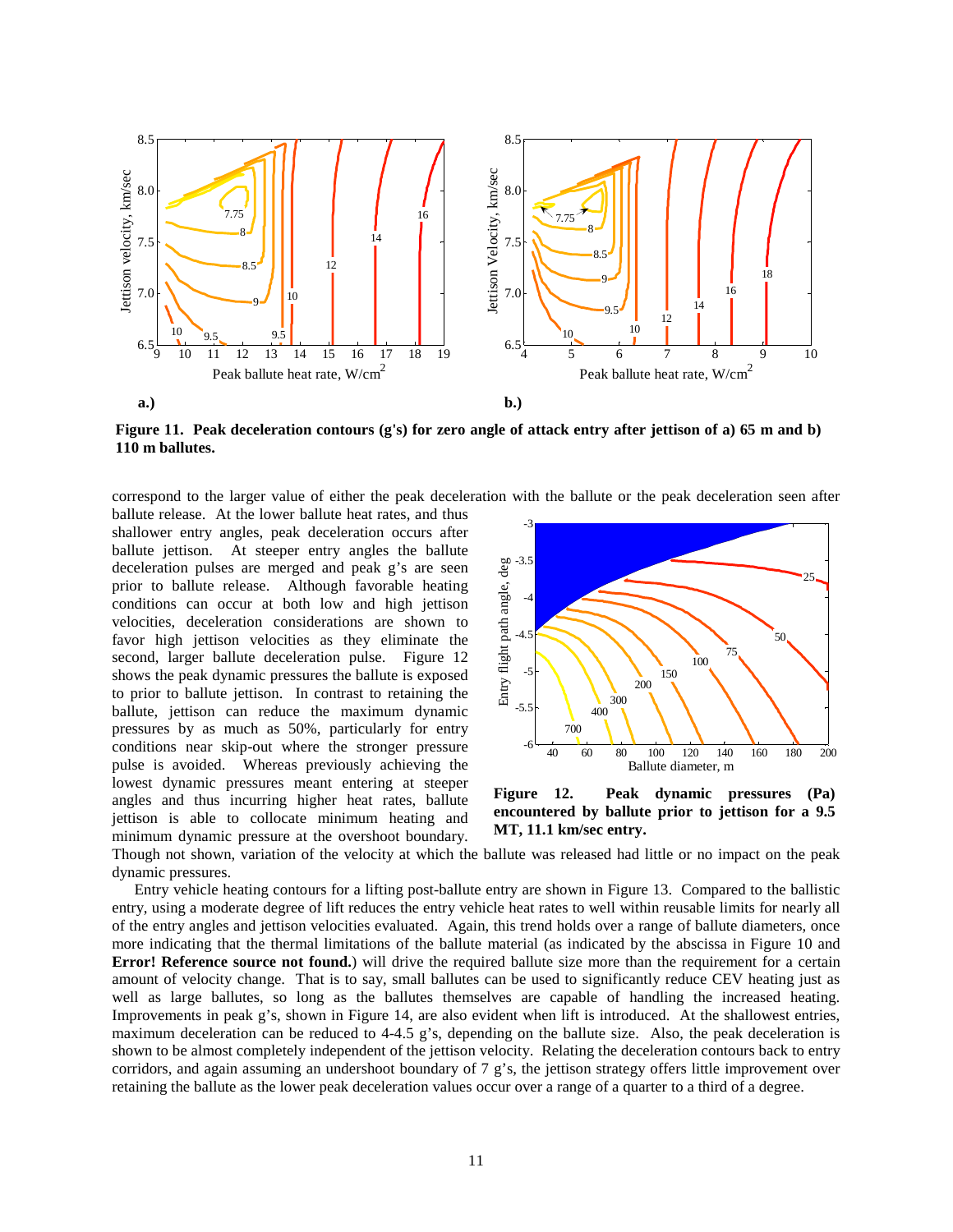

**Figure 11. Peak deceleration contours (g's) for zero angle of attack entry after jettison of a) 65 m and b) 110 m ballutes.** 

correspond to the larger value of either the peak deceleration with the ballute or the peak deceleration seen after

ballute release. At the lower ballute heat rates, and thus shallower entry angles, peak deceleration occurs after ballute jettison. At steeper entry angles the ballute deceleration pulses are merged and peak g's are seen prior to ballute release. Although favorable heating conditions can occur at both low and high jettison velocities, deceleration considerations are shown to favor high jettison velocities as they eliminate the second, larger ballute deceleration pulse. Figure 12 shows the peak dynamic pressures the ballute is exposed to prior to ballute jettison. In contrast to retaining the ballute, jettison can reduce the maximum dynamic pressures by as much as 50%, particularly for entry conditions near skip-out where the stronger pressure pulse is avoided. Whereas previously achieving the lowest dynamic pressures meant entering at steeper angles and thus incurring higher heat rates, ballute jettison is able to collocate minimum heating and minimum dynamic pressure at the overshoot boundary.



**Figure 12. Peak dynamic pressures (Pa) encountered by ballute prior to jettison for a 9.5 MT, 11.1 km/sec entry.** 

Though not shown, variation of the velocity at which the ballute was released had little or no impact on the peak dynamic pressures.

 Entry vehicle heating contours for a lifting post-ballute entry are shown in Figure 13. Compared to the ballistic entry, using a moderate degree of lift reduces the entry vehicle heat rates to well within reusable limits for nearly all of the entry angles and jettison velocities evaluated. Again, this trend holds over a range of ballute diameters, once more indicating that the thermal limitations of the ballute material (as indicated by the abscissa in Figure 10 and **Error! Reference source not found.**) will drive the required ballute size more than the requirement for a certain amount of velocity change. That is to say, small ballutes can be used to significantly reduce CEV heating just as well as large ballutes, so long as the ballutes themselves are capable of handling the increased heating. Improvements in peak g's, shown in Figure 14, are also evident when lift is introduced. At the shallowest entries, maximum deceleration can be reduced to 4-4.5 g's, depending on the ballute size. Also, the peak deceleration is shown to be almost completely independent of the jettison velocity. Relating the deceleration contours back to entry corridors, and again assuming an undershoot boundary of 7 g's, the jettison strategy offers little improvement over retaining the ballute as the lower peak deceleration values occur over a range of a quarter to a third of a degree.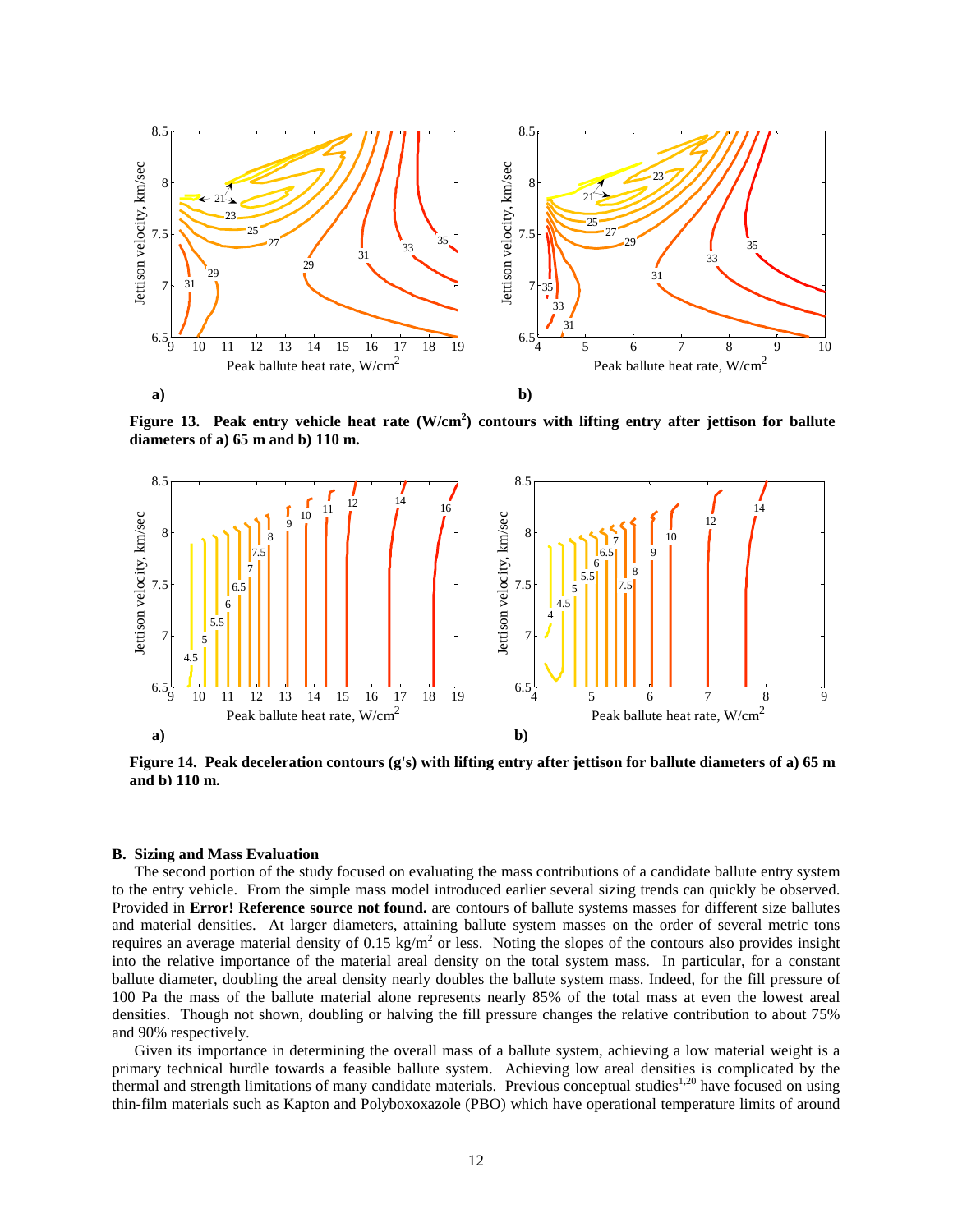

**Figure 13. Peak entry vehicle heat rate (W/cm<sup>2</sup> ) contours with lifting entry after jettison for ballute diameters of a) 65 m and b) 110 m.** 



**Figure 14. Peak deceleration contours (g's) with lifting entry after jettison for ballute diameters of a) 65 m and b) 110 m.**

### **B. Sizing and Mass Evaluation**

The second portion of the study focused on evaluating the mass contributions of a candidate ballute entry system to the entry vehicle. From the simple mass model introduced earlier several sizing trends can quickly be observed. Provided in **Error! Reference source not found.** are contours of ballute systems masses for different size ballutes and material densities. At larger diameters, attaining ballute system masses on the order of several metric tons requires an average material density of 0.15 kg/m<sup>2</sup> or less. Noting the slopes of the contours also provides insight into the relative importance of the material areal density on the total system mass. In particular, for a constant ballute diameter, doubling the areal density nearly doubles the ballute system mass. Indeed, for the fill pressure of 100 Pa the mass of the ballute material alone represents nearly 85% of the total mass at even the lowest areal densities. Though not shown, doubling or halving the fill pressure changes the relative contribution to about 75% and 90% respectively.

Given its importance in determining the overall mass of a ballute system, achieving a low material weight is a primary technical hurdle towards a feasible ballute system. Achieving low areal densities is complicated by the thermal and strength limitations of many candidate materials. Previous conceptual studies<sup>1,20</sup> have focused on using thin-film materials such as Kapton and Polyboxoxazole (PBO) which have operational temperature limits of around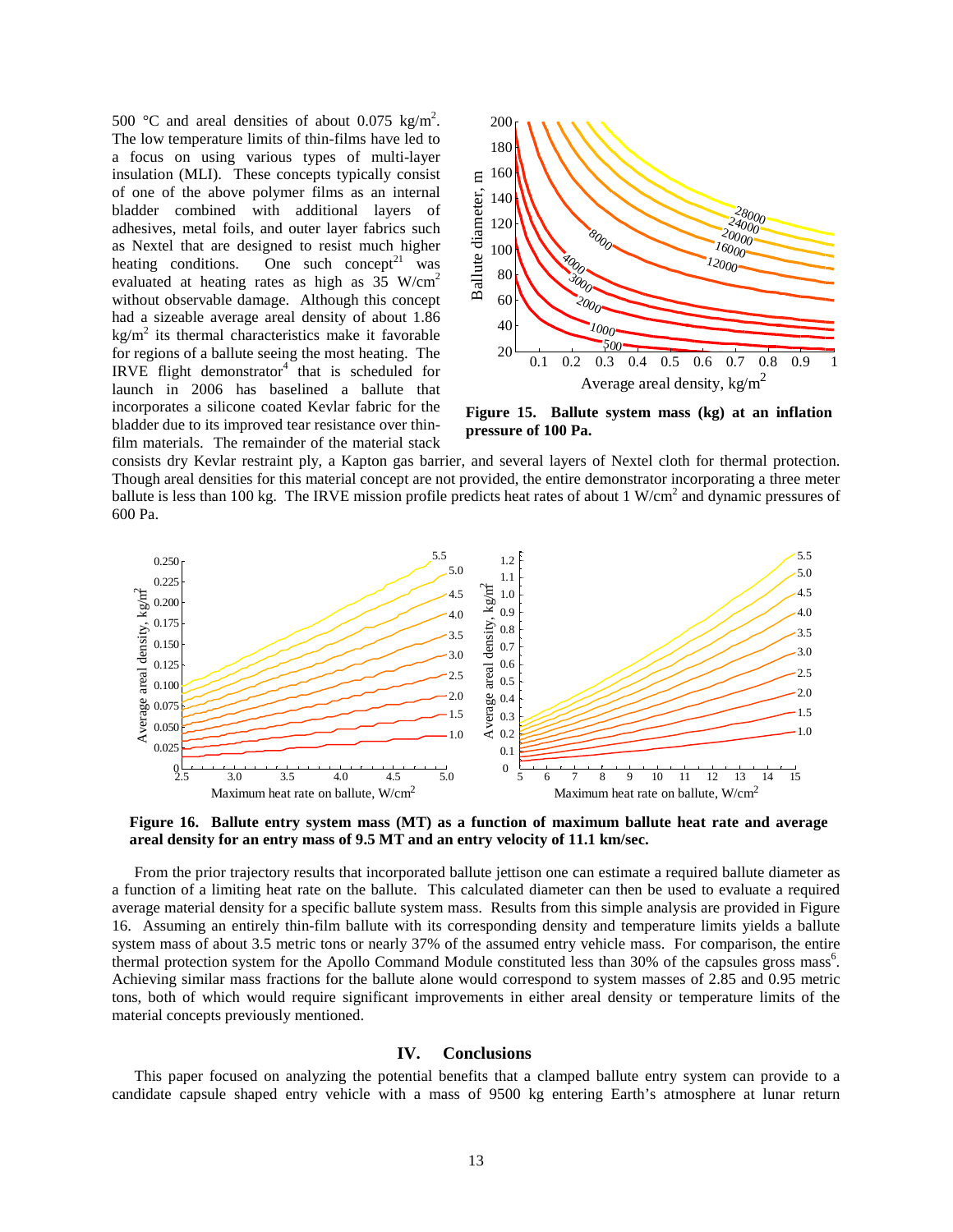500 °C and areal densities of about 0.075 kg/m<sup>2</sup>. The low temperature limits of thin-films have led to a focus on using various types of multi-layer insulation (MLI). These concepts typically consist of one of the above polymer films as an internal bladder combined with additional layers of adhesives, metal foils, and outer layer fabrics such as Nextel that are designed to resist much higher heating conditions. One such concept<sup>21</sup> was evaluated at heating rates as high as 35 W/cm<sup>2</sup> without observable damage. Although this concept had a sizeable average areal density of about 1.86  $\text{kg/m}^2$  its thermal characteristics make it favorable for regions of a ballute seeing the most heating. The IRVE flight demonstrator $4$  that is scheduled for launch in 2006 has baselined a ballute that incorporates a silicone coated Kevlar fabric for the bladder due to its improved tear resistance over thinfilm materials. The remainder of the material stack



**Figure 15. Ballute system mass (kg) at an inflation pressure of 100 Pa.**

consists dry Kevlar restraint ply, a Kapton gas barrier, and several layers of Nextel cloth for thermal protection. Though areal densities for this material concept are not provided, the entire demonstrator incorporating a three meter ballute is less than 100 kg. The IRVE mission profile predicts heat rates of about 1 W/cm<sup>2</sup> and dynamic pressures of 600 Pa.



**Figure 16. Ballute entry system mass (MT) as a function of maximum ballute heat rate and average areal density for an entry mass of 9.5 MT and an entry velocity of 11.1 km/sec.** 

From the prior trajectory results that incorporated ballute jettison one can estimate a required ballute diameter as a function of a limiting heat rate on the ballute. This calculated diameter can then be used to evaluate a required average material density for a specific ballute system mass. Results from this simple analysis are provided in Figure 16. Assuming an entirely thin-film ballute with its corresponding density and temperature limits yields a ballute system mass of about 3.5 metric tons or nearly 37% of the assumed entry vehicle mass. For comparison, the entire thermal protection system for the Apollo Command Module constituted less than 30% of the capsules gross mass<sup>6</sup>. Achieving similar mass fractions for the ballute alone would correspond to system masses of 2.85 and 0.95 metric tons, both of which would require significant improvements in either areal density or temperature limits of the material concepts previously mentioned.

### **IV. Conclusions**

This paper focused on analyzing the potential benefits that a clamped ballute entry system can provide to a candidate capsule shaped entry vehicle with a mass of 9500 kg entering Earth's atmosphere at lunar return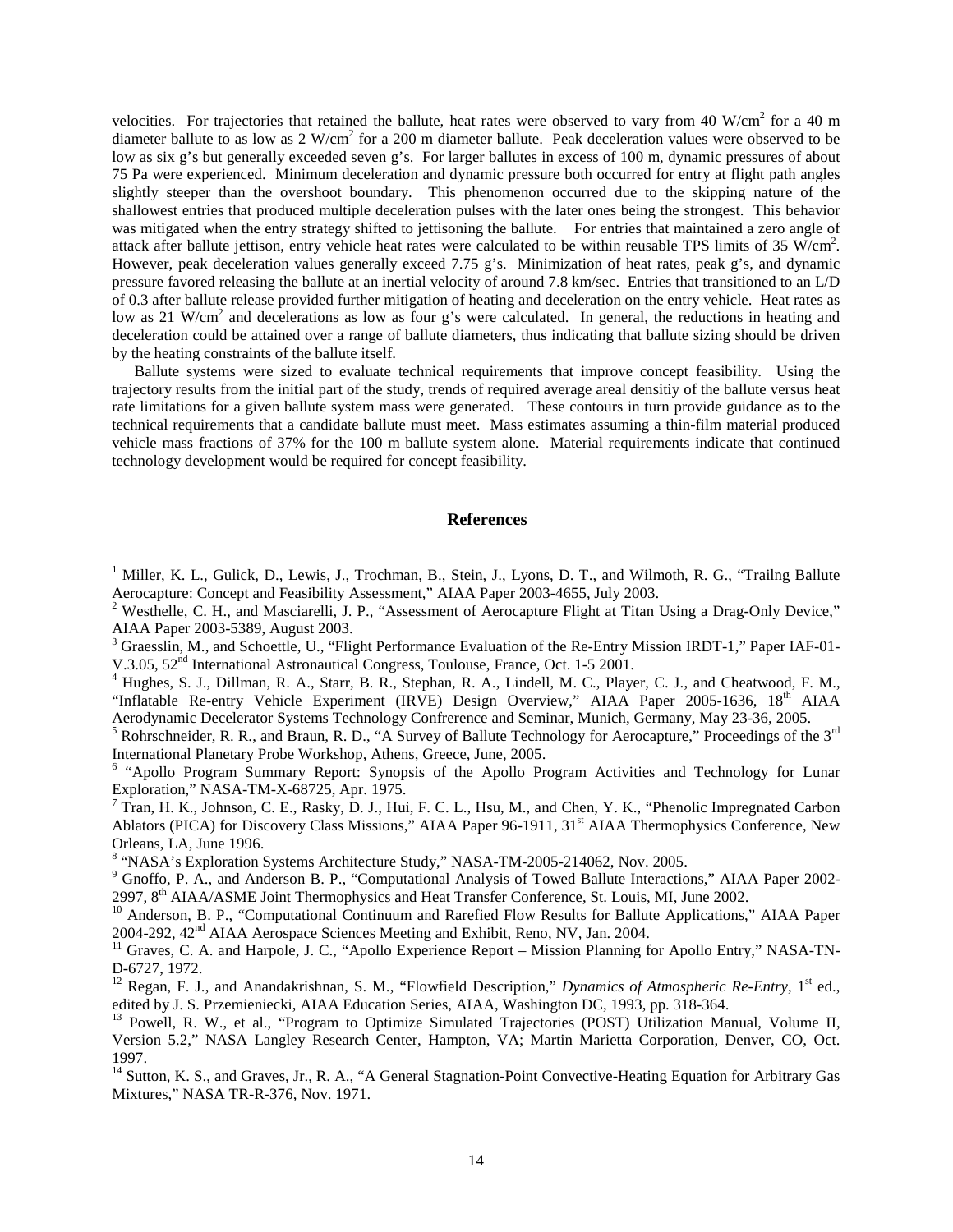velocities. For trajectories that retained the ballute, heat rates were observed to vary from 40 W/cm<sup>2</sup> for a 40 m diameter ballute to as low as  $2 \text{ W/cm}^2$  for a 200 m diameter ballute. Peak deceleration values were observed to be low as six g's but generally exceeded seven g's. For larger ballutes in excess of 100 m, dynamic pressures of about 75 Pa were experienced. Minimum deceleration and dynamic pressure both occurred for entry at flight path angles slightly steeper than the overshoot boundary. This phenomenon occurred due to the skipping nature of the shallowest entries that produced multiple deceleration pulses with the later ones being the strongest. This behavior was mitigated when the entry strategy shifted to jettisoning the ballute. For entries that maintained a zero angle of attack after ballute jettison, entry vehicle heat rates were calculated to be within reusable TPS limits of 35  $W/cm<sup>2</sup>$ . However, peak deceleration values generally exceed 7.75 g's. Minimization of heat rates, peak g's, and dynamic pressure favored releasing the ballute at an inertial velocity of around 7.8 km/sec. Entries that transitioned to an L/D of 0.3 after ballute release provided further mitigation of heating and deceleration on the entry vehicle. Heat rates as low as 21 W/cm<sup>2</sup> and decelerations as low as four g's were calculated. In general, the reductions in heating and deceleration could be attained over a range of ballute diameters, thus indicating that ballute sizing should be driven by the heating constraints of the ballute itself.

Ballute systems were sized to evaluate technical requirements that improve concept feasibility. Using the trajectory results from the initial part of the study, trends of required average areal densitiy of the ballute versus heat rate limitations for a given ballute system mass were generated. These contours in turn provide guidance as to the technical requirements that a candidate ballute must meet. Mass estimates assuming a thin-film material produced vehicle mass fractions of 37% for the 100 m ballute system alone. Material requirements indicate that continued technology development would be required for concept feasibility.

# **References**

-

<sup>&</sup>lt;sup>1</sup> Miller, K. L., Gulick, D., Lewis, J., Trochman, B., Stein, J., Lyons, D. T., and Wilmoth, R. G., "Trailng Ballute Aerocapture: Concept and Feasibility Assessment," AIAA Paper 2003-4655, July 2003.

<sup>&</sup>lt;sup>2</sup> Westhelle, C. H., and Masciarelli, J. P., "Assessment of Aerocapture Flight at Titan Using a Drag-Only Device," AIAA Paper 2003-5389, August 2003.

<sup>&</sup>lt;sup>3</sup> Graesslin, M., and Schoettle, U., "Flight Performance Evaluation of the Re-Entry Mission IRDT-1," Paper IAF-01-V.3.05, 52nd International Astronautical Congress, Toulouse, France, Oct. 1-5 2001.

<sup>&</sup>lt;sup>4</sup> Hughes, S. J., Dillman, R. A., Starr, B. R., Stephan, R. A., Lindell, M. C., Player, C. J., and Cheatwood, F. M., "Inflatable Re-entry Vehicle Experiment (IRVE) Design Overview," AIAA Paper 2005-1636, 18<sup>th</sup> AIAA Aerodynamic Decelerator Systems Technology Confrerence and Seminar, Munich, Germany, May 23-36, 2005.

<sup>&</sup>lt;sup>5</sup> Rohrschneider, R. R., and Braun, R. D., "A Survey of Ballute Technology for Aerocapture," Proceedings of the  $3^{rd}$ International Planetary Probe Workshop, Athens, Greece, June, 2005.

<sup>&</sup>lt;sup>6</sup> "Apollo Program Summary Report: Synopsis of the Apollo Program Activities and Technology for Lunar Exploration," NASA-TM-X-68725, Apr. 1975.

 $^7$  Tran, H. K., Johnson, C. E., Rasky, D. J., Hui, F. C. L., Hsu, M., and Chen, Y. K., "Phenolic Impregnated Carbon Ablators (PICA) for Discovery Class Missions," AIAA Paper 96-1911, 31<sup>st</sup> AIAA Thermophysics Conference, New Orleans, LA, June 1996.

<sup>&</sup>lt;sup>8</sup> "NASA's Exploration Systems Architecture Study," NASA-TM-2005-214062, Nov. 2005.

<sup>&</sup>lt;sup>9</sup> Gnoffo, P. A., and Anderson B. P., "Computational Analysis of Towed Ballute Interactions," AIAA Paper 2002-2997, 8th AIAA/ASME Joint Thermophysics and Heat Transfer Conference, St. Louis, MI, June 2002.

<sup>&</sup>lt;sup>10</sup> Anderson, B. P., "Computational Continuum and Rarefied Flow Results for Ballute Applications," AIAA Paper 2004-292, 42<sup>nd</sup> AIAA Aerospace Sciences Meeting and Exhibit, Reno, NV, Jan. 2004.

<sup>&</sup>lt;sup>11</sup> Graves, C. A. and Harpole, J. C., "Apollo Experience Report – Mission Planning for Apollo Entry," NASA-TN-D-6727, 1972.

<sup>&</sup>lt;sup>12</sup> Regan, F. J., and Anandakrishnan, S. M., "Flowfield Description," *Dynamics of Atmospheric Re-Entry*, 1<sup>st</sup> ed., edited by J. S. Przemieniecki, AIAA Education Series, AIAA, Washington DC, 1993, pp. 318-364.

<sup>&</sup>lt;sup>13</sup> Powell, R. W., et al., "Program to Optimize Simulated Trajectories (POST) Utilization Manual, Volume II, Version 5.2," NASA Langley Research Center, Hampton, VA; Martin Marietta Corporation, Denver, CO, Oct. 1997.

<sup>&</sup>lt;sup>14</sup> Sutton, K. S., and Graves, Jr., R. A., "A General Stagnation-Point Convective-Heating Equation for Arbitrary Gas Mixtures," NASA TR-R-376, Nov. 1971.